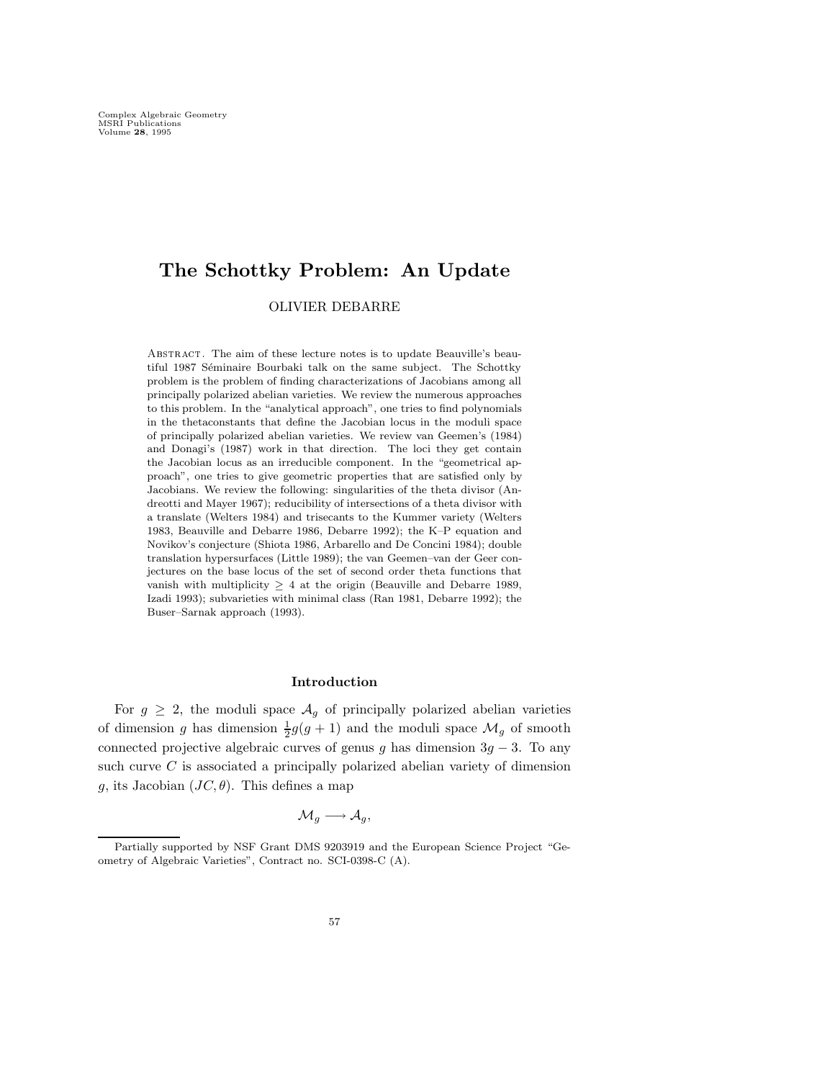# **The Schottky Problem: An Update**

OLIVIER DEBARRE

Abstract. The aim of these lecture notes is to update Beauville's beautiful 1987 Séminaire Bourbaki talk on the same subject. The Schottky problem is the problem of finding characterizations of Jacobians among all principally polarized abelian varieties. We review the numerous approaches to this problem. In the "analytical approach", one tries to find polynomials in the thetaconstants that define the Jacobian locus in the moduli space of principally polarized abelian varieties. We review van Geemen's (1984) and Donagi's (1987) work in that direction. The loci they get contain the Jacobian locus as an irreducible component. In the "geometrical approach", one tries to give geometric properties that are satisfied only by Jacobians. We review the following: singularities of the theta divisor (Andreotti and Mayer 1967); reducibility of intersections of a theta divisor with a translate (Welters 1984) and trisecants to the Kummer variety (Welters 1983, Beauville and Debarre 1986, Debarre 1992); the K–P equation and Novikov's conjecture (Shiota 1986, Arbarello and De Concini 1984); double translation hypersurfaces (Little 1989); the van Geemen–van der Geer conjectures on the base locus of the set of second order theta functions that vanish with multiplicity  $\geq$  4 at the origin (Beauville and Debarre 1989, Izadi 1993); subvarieties with minimal class (Ran 1981, Debarre 1992); the Buser–Sarnak approach (1993).

#### **Introduction**

For  $g \geq 2$ , the moduli space  $\mathcal{A}_g$  of principally polarized abelian varieties of dimension g has dimension  $\frac{1}{2}g(g+1)$  and the moduli space  $\mathcal{M}_g$  of smooth connected projective algebraic curves of genus g has dimension  $3g - 3$ . To any such curve  $C$  is associated a principally polarized abelian variety of dimension g, its Jacobian  $(JC, \theta)$ . This defines a map

$$
\mathcal{M}_g \longrightarrow \mathcal{A}_g,
$$

Partially supported by NSF Grant DMS 9203919 and the European Science Project "Geometry of Algebraic Varieties", Contract no. SCI-0398-C (A).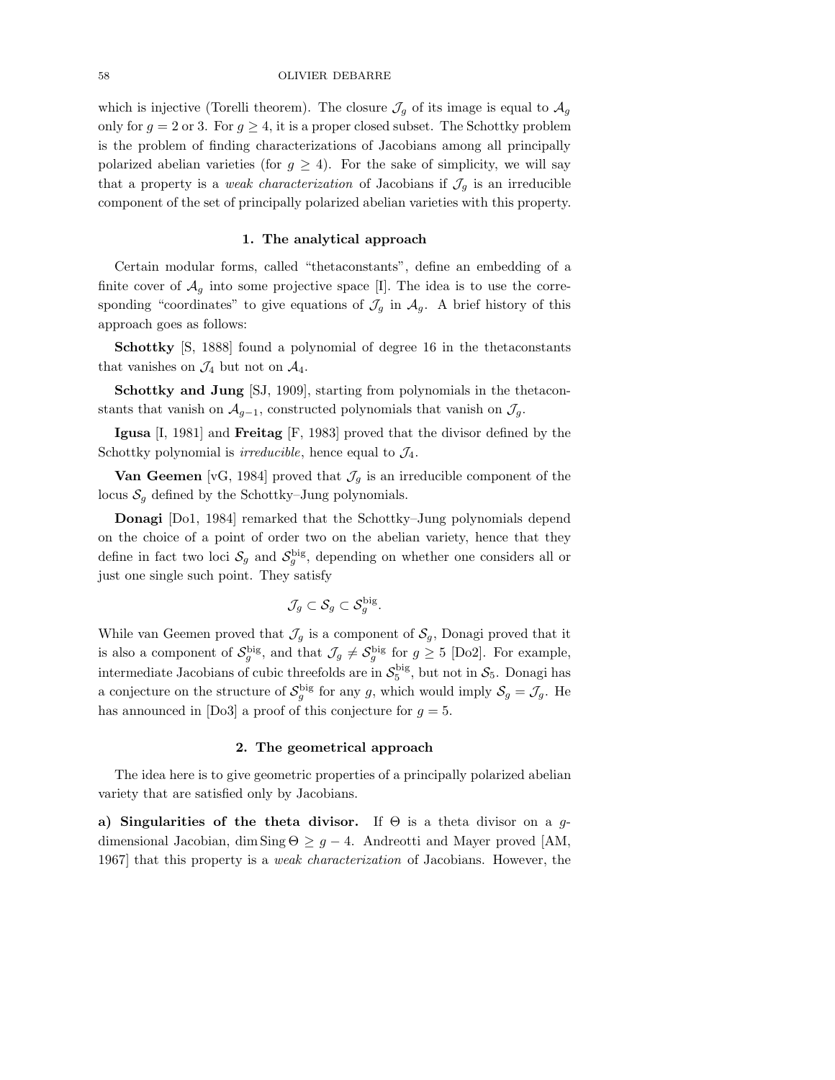### 58 OLIVIER DEBARRE

which is injective (Torelli theorem). The closure  $\mathcal{J}_q$  of its image is equal to  $\mathcal{A}_q$ only for  $g = 2$  or 3. For  $g \geq 4$ , it is a proper closed subset. The Schottky problem is the problem of finding characterizations of Jacobians among all principally polarized abelian varieties (for  $g \geq 4$ ). For the sake of simplicity, we will say that a property is a *weak characterization* of Jacobians if  $\mathcal{J}_g$  is an irreducible component of the set of principally polarized abelian varieties with this property.

## **1. The analytical approach**

Certain modular forms, called "thetaconstants", define an embedding of a finite cover of  $\mathcal{A}_{q}$  into some projective space [I]. The idea is to use the corresponding "coordinates" to give equations of  $\mathcal{J}_g$  in  $\mathcal{A}_g$ . A brief history of this approach goes as follows:

**Schottky** [S, 1888] found a polynomial of degree 16 in the thetaconstants that vanishes on  $\mathcal{J}_4$  but not on  $\mathcal{A}_4$ .

**Schottky and Jung** [SJ, 1909], starting from polynomials in the thetaconstants that vanish on  $\mathcal{A}_{g-1}$ , constructed polynomials that vanish on  $\mathcal{J}_g$ .

**Igusa** [I, 1981] and **Freitag** [F, 1983] proved that the divisor defined by the Schottky polynomial is *irreducible*, hence equal to  $\mathcal{J}_4$ .

**Van Geemen** [vG, 1984] proved that  $\mathcal{J}_g$  is an irreducible component of the locus  $S<sub>g</sub>$  defined by the Schottky–Jung polynomials.

**Donagi** [Do1, 1984] remarked that the Schottky–Jung polynomials depend on the choice of a point of order two on the abelian variety, hence that they define in fact two loci  $S_g$  and  $S_g^{\text{big}}$ , depending on whether one considers all or just one single such point. They satisfy

$$
\mathcal{J}_g \subset \mathcal{S}_g \subset \mathcal{S}_g^{\rm big}.
$$

While van Geemen proved that  $\mathcal{J}_g$  is a component of  $\mathcal{S}_g$ , Donagi proved that it is also a component of  $S_g^{\text{big}}$ , and that  $\mathcal{J}_g \neq S_g^{\text{big}}$  for  $g \geq 5$  [Do2]. For example, intermediate Jacobians of cubic threefolds are in  $S_5^{\text{big}}$ , but not in  $S_5$ . Donagi has a conjecture on the structure of  $\mathcal{S}_g^{\text{big}}$  for any g, which would imply  $\mathcal{S}_g = \mathcal{J}_g$ . He has announced in [Do3] a proof of this conjecture for  $g = 5$ .

#### **2. The geometrical approach**

The idea here is to give geometric properties of a principally polarized abelian variety that are satisfied only by Jacobians.

**a) Singularities of the theta divisor.** If  $\Theta$  is a theta divisor on a gdimensional Jacobian, dim Sing  $\Theta \geq g - 4$ . Andreotti and Mayer proved [AM, 1967] that this property is a *weak characterization* of Jacobians. However, the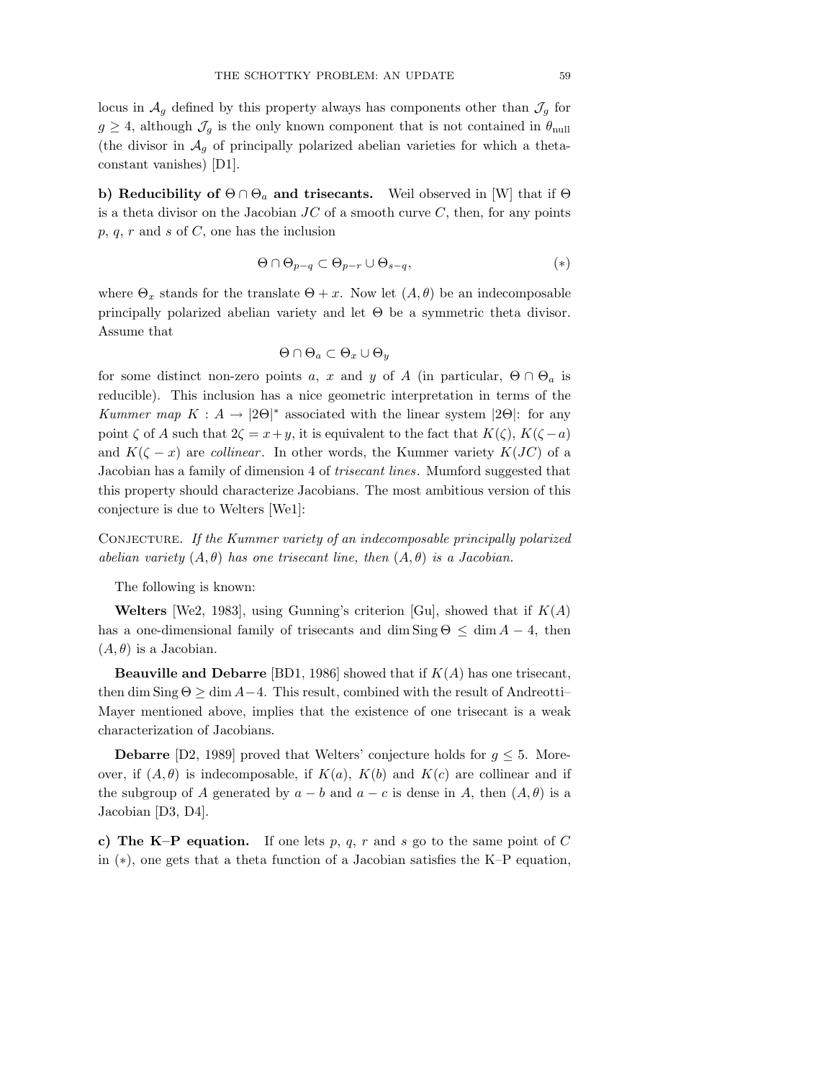locus in  $\mathcal{A}_q$  defined by this property always has components other than  $\mathcal{J}_q$  for  $g \geq 4$ , although  $\mathcal{J}_g$  is the only known component that is not contained in  $\theta_{\text{null}}$ (the divisor in  $A_q$  of principally polarized abelian varieties for which a thetaconstant vanishes) [D1].

**b) Reducibility of**  $\Theta \cap \Theta_a$  **and trisecants.** Weil observed in [W] that if  $\Theta$ is a theta divisor on the Jacobian  $JC$  of a smooth curve  $C$ , then, for any points  $p, q, r$  and  $s$  of  $C$ , one has the inclusion

$$
\Theta \cap \Theta_{p-q} \subset \Theta_{p-r} \cup \Theta_{s-q}, \tag{*}
$$

where  $\Theta_x$  stands for the translate  $\Theta + x$ . Now let  $(A, \theta)$  be an indecomposable principally polarized abelian variety and let  $\Theta$  be a symmetric theta divisor. Assume that

$$
\Theta \cap \Theta_a \subset \Theta_x \cup \Theta_y
$$

for some distinct non-zero points a, x and y of A (in particular,  $\Theta \cap \Theta_a$  is reducible). This inclusion has a nice geometric interpretation in terms of the *Kummer map*  $K : A \to |2\Theta|^*$  associated with the linear system  $|2\Theta|$ : for any point  $\zeta$  of A such that  $2\zeta = x+y$ , it is equivalent to the fact that  $K(\zeta), K(\zeta - a)$ and  $K(\zeta - x)$  are *collinear*. In other words, the Kummer variety  $K(JC)$  of a Jacobian has a family of dimension 4 of *trisecant lines*. Mumford suggested that this property should characterize Jacobians. The most ambitious version of this conjecture is due to Welters [We1]:

CONJECTURE. If the Kummer variety of an indecomposable principally polarized *abelian variety*  $(A, \theta)$  *has one trisecant line, then*  $(A, \theta)$  *is a Jacobian.* 

The following is known:

**Welters** [We2, 1983], using Gunning's criterion [Gu], showed that if  $K(A)$ has a one-dimensional family of trisecants and dim  $\text{Sing } \Theta \leq \dim A - 4$ , then  $(A, \theta)$  is a Jacobian.

**Beauville and Debarre** [BD1, 1986] showed that if K(A) has one trisecant, then dim Sing  $\Theta \ge \dim A - 4$ . This result, combined with the result of Andreotti-Mayer mentioned above, implies that the existence of one trisecant is a weak characterization of Jacobians.

**Debarre** [D2, 1989] proved that Welters' conjecture holds for  $g \leq 5$ . Moreover, if  $(A, \theta)$  is indecomposable, if  $K(a)$ ,  $K(b)$  and  $K(c)$  are collinear and if the subgroup of A generated by  $a - b$  and  $a - c$  is dense in A, then  $(A, \theta)$  is a Jacobian [D3, D4].

**c)** The K–P equation. If one lets p, q, r and s go to the same point of C in (∗), one gets that a theta function of a Jacobian satisfies the K–P equation,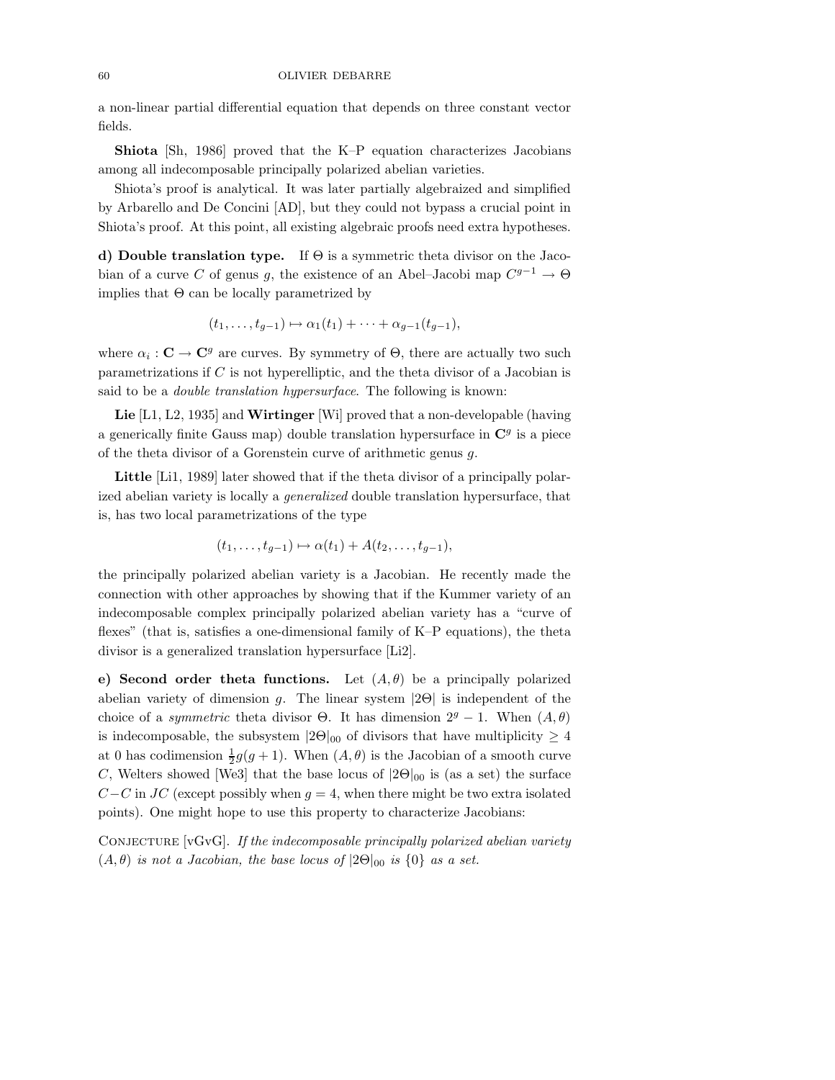### 60 OLIVIER DEBARRE

a non-linear partial differential equation that depends on three constant vector fields.

**Shiota** [Sh, 1986] proved that the K–P equation characterizes Jacobians among all indecomposable principally polarized abelian varieties.

Shiota's proof is analytical. It was later partially algebraized and simplified by Arbarello and De Concini [AD], but they could not bypass a crucial point in Shiota's proof. At this point, all existing algebraic proofs need extra hypotheses.

**d) Double translation type.** If Θ is a symmetric theta divisor on the Jacobian of a curve C of genus g, the existence of an Abel–Jacobi map  $C^{g-1} \to \Theta$ implies that  $\Theta$  can be locally parametrized by

$$
(t_1,\ldots,t_{g-1})\mapsto \alpha_1(t_1)+\cdots+\alpha_{g-1}(t_{g-1}),
$$

where  $\alpha_i : \mathbf{C} \to \mathbf{C}^g$  are curves. By symmetry of  $\Theta$ , there are actually two such parametrizations if  $C$  is not hyperelliptic, and the theta divisor of a Jacobian is said to be a *double translation hypersurface*. The following is known:

**Lie** [L1, L2, 1935] and **Wirtinger** [Wi] proved that a non-developable (having a generically finite Gauss map) double translation hypersurface in  $\mathbb{C}^g$  is a piece of the theta divisor of a Gorenstein curve of arithmetic genus g.

**Little** [Li1, 1989] later showed that if the theta divisor of a principally polarized abelian variety is locally a *generalized* double translation hypersurface, that is, has two local parametrizations of the type

$$
(t_1,\ldots,t_{g-1})\mapsto \alpha(t_1)+A(t_2,\ldots,t_{g-1}),
$$

the principally polarized abelian variety is a Jacobian. He recently made the connection with other approaches by showing that if the Kummer variety of an indecomposable complex principally polarized abelian variety has a "curve of flexes" (that is, satisfies a one-dimensional family of K–P equations), the theta divisor is a generalized translation hypersurface [Li2].

**e) Second order theta functions.** Let  $(A, \theta)$  be a principally polarized abelian variety of dimension g. The linear system  $|2\Theta|$  is independent of the choice of a *symmetric* theta divisor  $\Theta$ . It has dimension  $2^g - 1$ . When  $(A, \theta)$ is indecomposable, the subsystem  $|2\Theta|_{00}$  of divisors that have multiplicity  $\geq 4$ at 0 has codimension  $\frac{1}{2}g(g+1)$ . When  $(A, \theta)$  is the Jacobian of a smooth curve  $C$ . Welters abound We2l that the hass large of  $[2\Omega]$  is (see a set) the surface C, Welters showed [We3] that the base locus of  $|2\Theta|_{00}$  is (as a set) the surface  $C-C$  in JC (except possibly when  $g=4$ , when there might be two extra isolated points). One might hope to use this property to characterize Jacobians:

CONJECTURE  $\lvert \nabla \cdot \nabla \cdot \nabla \cdot \nabla \cdot \nabla \cdot \nabla \cdot \nabla \cdot \nabla \cdot \nabla \cdot \nabla \cdot \nabla \cdot \nabla \cdot \nabla \cdot \nabla \cdot \nabla \cdot \nabla \cdot \nabla \cdot \nabla \cdot \nabla \cdot \nabla \cdot \nabla \cdot \nabla \cdot \nabla \cdot \nabla \cdot \nabla \cdot \nabla \cdot \nabla \cdot \nabla \cdot \nabla \cdot \nabla \cdot \nabla \cdot \nabla \cdot \nabla \cdot \nabla \cdot \nab$  $(A, \theta)$  *is not a Jacobian, the base locus of*  $|2\Theta|_{00}$  *is*  $\{0\}$  *as a set.*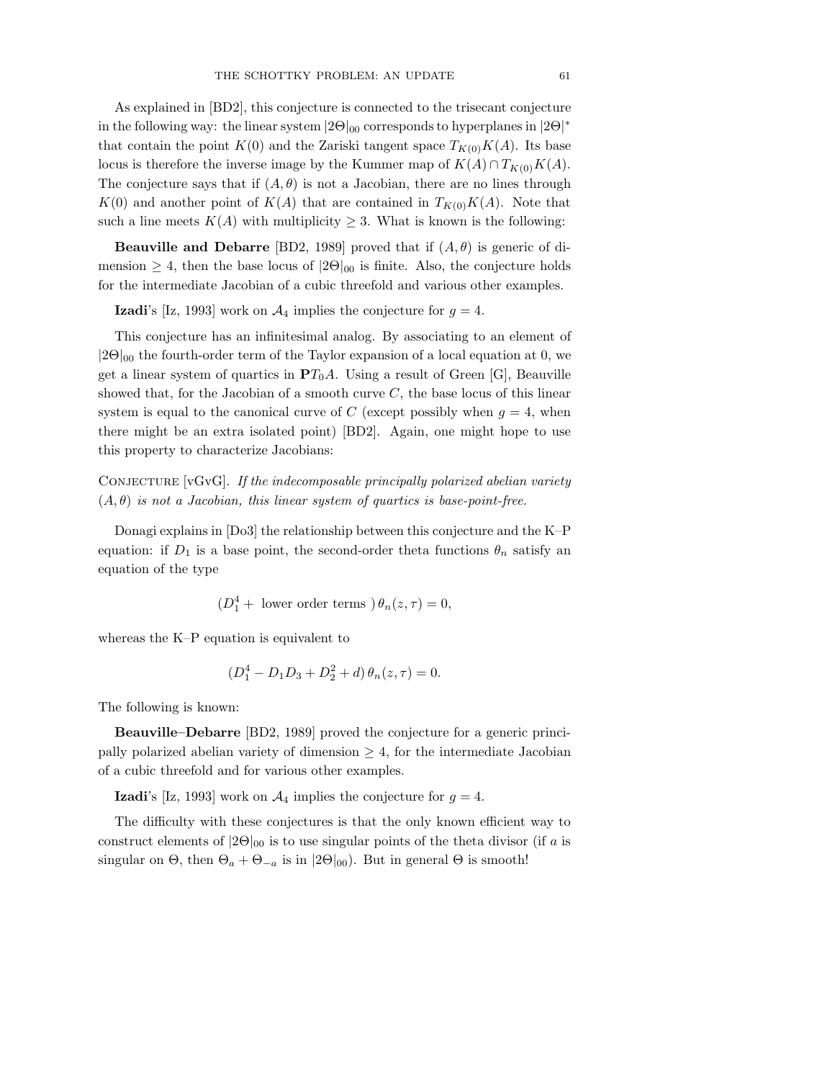As explained in [BD2], this conjecture is connected to the trisecant conjecture in the following way: the linear system  $|2\Theta|_{00}$  corresponds to hyperplanes in  $|2\Theta|^*$ that contain the point  $K(0)$  and the Zariski tangent space  $T_{K(0)}K(A)$ . Its base locus is therefore the inverse image by the Kummer map of  $K(A) \cap T_{K(0)}K(A)$ . The conjecture says that if  $(A, \theta)$  is not a Jacobian, there are no lines through  $K(0)$  and another point of  $K(A)$  that are contained in  $T_{K(0)}K(A)$ . Note that such a line meets  $K(A)$  with multiplicity  $\geq 3$ . What is known is the following:

**Beauville and Debarre** [BD2, 1989] proved that if  $(A, \theta)$  is generic of dimension  $\geq 4$ , then the base locus of  $|2\Theta|_{00}$  is finite. Also, the conjecture holds for the intermediate Jacobian of a cubic threefold and various other examples.

**Izadi**'s [Iz, 1993] work on  $\mathcal{A}_4$  implies the conjecture for  $g = 4$ .

This conjecture has an infinitesimal analog. By associating to an element of  $|2\Theta|_{00}$  the fourth-order term of the Taylor expansion of a local equation at 0, we get a linear system of quartics in  $PT_0A$ . Using a result of Green [G], Beauville showed that, for the Jacobian of a smooth curve  $C$ , the base locus of this linear system is equal to the canonical curve of C (except possibly when  $q = 4$ , when there might be an extra isolated point) [BD2]. Again, one might hope to use this property to characterize Jacobians:

CONJECTURE  $[vGvG]$ . If the indecomposable principally polarized abelian variety  $(A, \theta)$  *is not a Jacobian, this linear system of quartics is base-point-free.* 

Donagi explains in [Do3] the relationship between this conjecture and the K–P equation: if  $D_1$  is a base point, the second-order theta functions  $\theta_n$  satisfy an equation of the type

 $(D_1^4$  + lower order terms  $\partial_n(z,\tau)=0$ ,

whereas the K–P equation is equivalent to

$$
(D_1^4 - D_1D_3 + D_2^2 + d)\,\theta_n(z,\tau) = 0.
$$

The following is known:

**Beauville–Debarre** [BD2, 1989] proved the conjecture for a generic principally polarized abelian variety of dimension  $\geq 4$ , for the intermediate Jacobian of a cubic threefold and for various other examples.

**Izadi**'s [Iz, 1993] work on  $\mathcal{A}_4$  implies the conjecture for  $g = 4$ .

The difficulty with these conjectures is that the only known efficient way to construct elements of  $|2\Theta|_{00}$  is to use singular points of the theta divisor (if a is singular on  $\Theta$ , then  $\Theta_a + \Theta_{-a}$  is in  $|2\Theta|_{00}$ . But in general  $\Theta$  is smooth!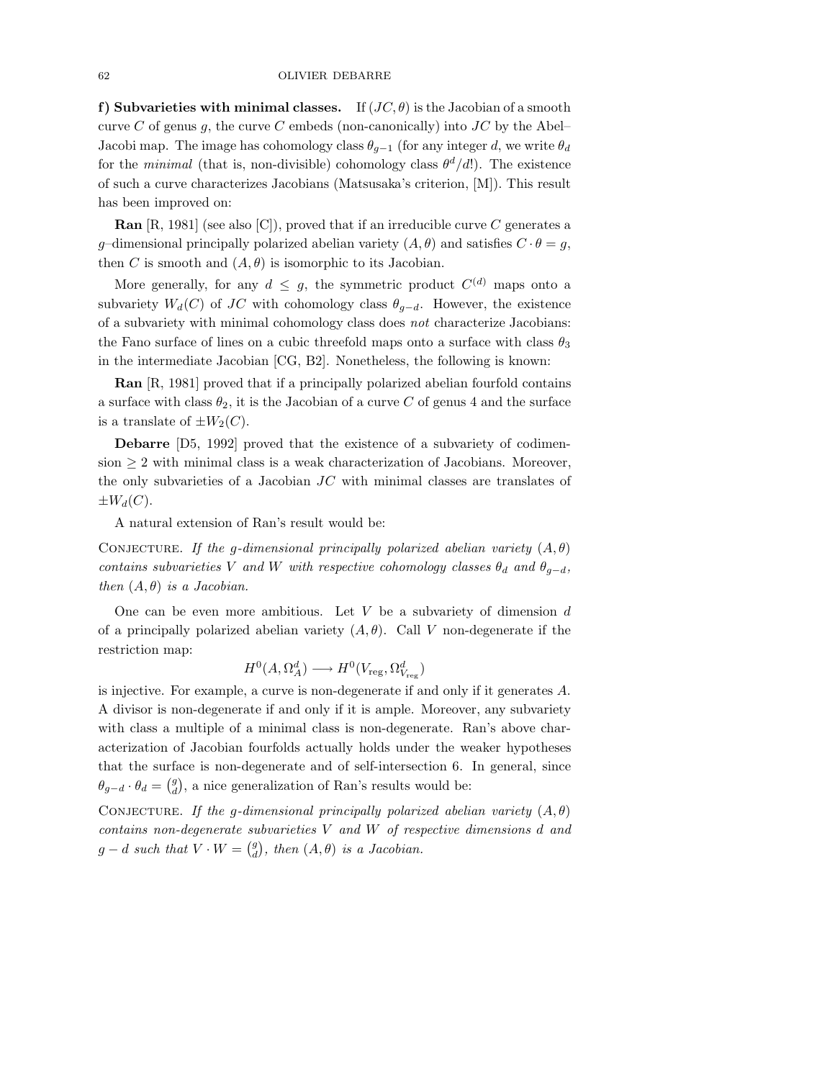**f)** Subvarieties with minimal classes. If  $(JC, \theta)$  is the Jacobian of a smooth curve C of genus g, the curve C embeds (non-canonically) into  $JC$  by the Abel– Jacobi map. The image has cohomology class  $\theta_{q-1}$  (for any integer d, we write  $\theta_d$ for the *minimal* (that is, non-divisible) cohomology class  $\theta^d/d$ . The existence of such a curve characterizes Jacobians (Matsusaka's criterion, [M]). This result has been improved on:

**Ran** [R, 1981] (see also [C]), proved that if an irreducible curve C generates a g-dimensional principally polarized abelian variety  $(A, \theta)$  and satisfies  $C \cdot \theta = g$ , then C is smooth and  $(A, \theta)$  is isomorphic to its Jacobian.

More generally, for any  $d \leq g$ , the symmetric product  $C^{(d)}$  maps onto a subvariety  $W_d(C)$  of JC with cohomology class  $\theta_{q-d}$ . However, the existence of a subvariety with minimal cohomology class does *not* characterize Jacobians: the Fano surface of lines on a cubic threefold maps onto a surface with class  $\theta_3$ in the intermediate Jacobian [CG, B2]. Nonetheless, the following is known:

**Ran** [R, 1981] proved that if a principally polarized abelian fourfold contains a surface with class  $\theta_2$ , it is the Jacobian of a curve C of genus 4 and the surface is a translate of  $\pm W_2(C)$ .

**Debarre** [D5, 1992] proved that the existence of a subvariety of codimension  $\geq 2$  with minimal class is a weak characterization of Jacobians. Moreover, the only subvarieties of a Jacobian  $JC$  with minimal classes are translates of  $\pm W_d(C)$ .

A natural extension of Ran's result would be:

CONJECTURE. *If the g-dimensional principally polarized abelian variety*  $(A, \theta)$ *contains subvarieties* V *and* W *with respective cohomology classes*  $\theta_d$  *and*  $\theta_{g-d}$ *, then*  $(A, \theta)$  *is a Jacobian.* 

One can be even more ambitious. Let  $V$  be a subvariety of dimension  $d$ of a principally polarized abelian variety  $(A, \theta)$ . Call V non-degenerate if the restriction map:

$$
H^0(A, \Omega_A^d) \longrightarrow H^0(V_{\text{reg}}, \Omega_{V_{\text{reg}}}^d)
$$

is injective. For example, a curve is non-degenerate if and only if it generates A. A divisor is non-degenerate if and only if it is ample. Moreover, any subvariety with class a multiple of a minimal class is non-degenerate. Ran's above characterization of Jacobian fourfolds actually holds under the weaker hypotheses that the surface is non-degenerate and of self-intersection 6. In general, since  $\theta_{g-d} \cdot \theta_d = \begin{pmatrix} g \\ d \end{pmatrix}$ , a nice generalization of Ran's results would be:

CONJECTURE. *If the g-dimensional principally polarized abelian variety*  $(A, \theta)$ *contains non-degenerate subvarieties* V *and* W *of respective dimensions* d *and*  $g - d$  *such that*  $V \cdot W = \begin{pmatrix} g \\ d \end{pmatrix}$ *, then*  $(A, \theta)$  *is a Jacobian.*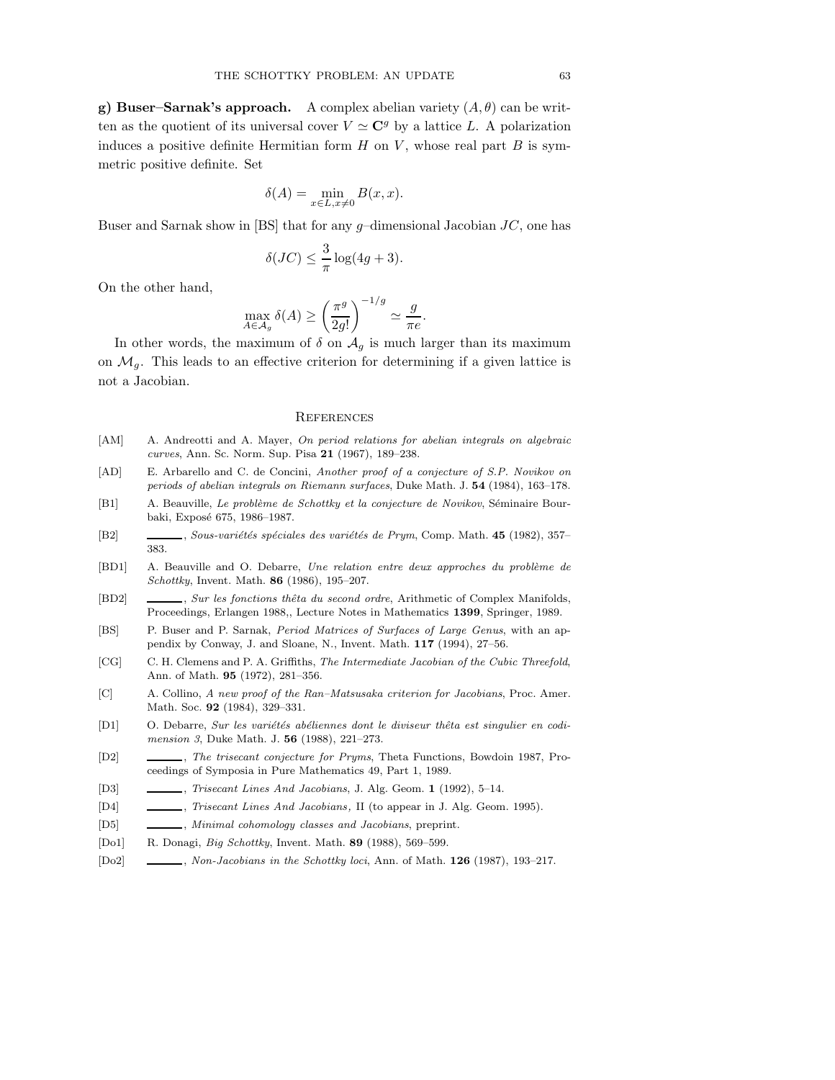**g) Buser–Sarnak's approach.** A complex abelian variety  $(A, \theta)$  can be written as the quotient of its universal cover  $V \simeq \mathbb{C}^g$  by a lattice L. A polarization induces a positive definite Hermitian form  $H$  on  $V$ , whose real part  $B$  is symmetric positive definite. Set

$$
\delta(A) = \min_{x \in L, x \neq 0} B(x, x).
$$

Buser and Sarnak show in [BS] that for any  $g$ -dimensional Jacobian  $JC$ , one has

$$
\delta(JC) \le \frac{3}{\pi} \log(4g+3).
$$

On the other hand,

$$
\max_{A \in \mathcal{A}_g} \delta(A) \ge \left(\frac{\pi^g}{2g!}\right)^{-1/g} \simeq \frac{g}{\pi e}.
$$

In other words, the maximum of  $\delta$  on  $\mathcal{A}_g$  is much larger than its maximum on  $\mathcal{M}_q$ . This leads to an effective criterion for determining if a given lattice is not a Jacobian.

#### **REFERENCES**

- [AM] A. Andreotti and A. Mayer, On period relations for abelian integrals on algebraic curves, Ann. Sc. Norm. Sup. Pisa **21** (1967), 189–238.
- [AD] E. Arbarello and C. de Concini, Another proof of a conjecture of S.P. Novikov on periods of abelian integrals on Riemann surfaces, Duke Math. J. **54** (1984), 163–178.
- [B1] A. Beauville, Le problème de Schottky et la conjecture de Novikov, Séminaire Bourbaki, Exposé 675, 1986-1987.
- [B2] , Sous-variétés spéciales des variétés de Prym, Comp. Math. **45** (1982), 357– 383.
- [BD1] A. Beauville and O. Debarre, Une relation entre deux approches du problème de Schottky, Invent. Math. **86** (1986), 195–207.
- [BD2] , Sur les fonctions thêta du second ordre, Arithmetic of Complex Manifolds, Proceedings, Erlangen 1988,, Lecture Notes in Mathematics **1399**, Springer, 1989.
- [BS] P. Buser and P. Sarnak, Period Matrices of Surfaces of Large Genus, with an appendix by Conway, J. and Sloane, N., Invent. Math. **117** (1994), 27–56.
- [CG] C. H. Clemens and P. A. Griffiths, The Intermediate Jacobian of the Cubic Threefold, Ann. of Math. **95** (1972), 281–356.
- [C] A. Collino, A new proof of the Ran–Matsusaka criterion for Jacobians, Proc. Amer. Math. Soc. **92** (1984), 329–331.
- [D1] O. Debarre, Sur les variétés abéliennes dont le diviseur thêta est singulier en codimension 3, Duke Math. J. **56** (1988), 221–273.
- [D2] , The trisecant conjecture for Pryms, Theta Functions, Bowdoin 1987, Proceedings of Symposia in Pure Mathematics 49, Part 1, 1989.
- [D3] , Trisecant Lines And Jacobians, J. Alg. Geom. **1** (1992), 5–14.
- [D4]  $\qquad \qquad \qquad$ , Trisecant Lines And Jacobians, II (to appear in J. Alg. Geom. 1995).
- [D5]  $\quad \quad \underline{\hspace{2cm}}$ , Minimal cohomology classes and Jacobians, preprint.
- [Do1] R. Donagi, Big Schottky, Invent. Math. **89** (1988), 569–599.
- [Do2] , Non-Jacobians in the Schottky loci, Ann. of Math. **126** (1987), 193–217.